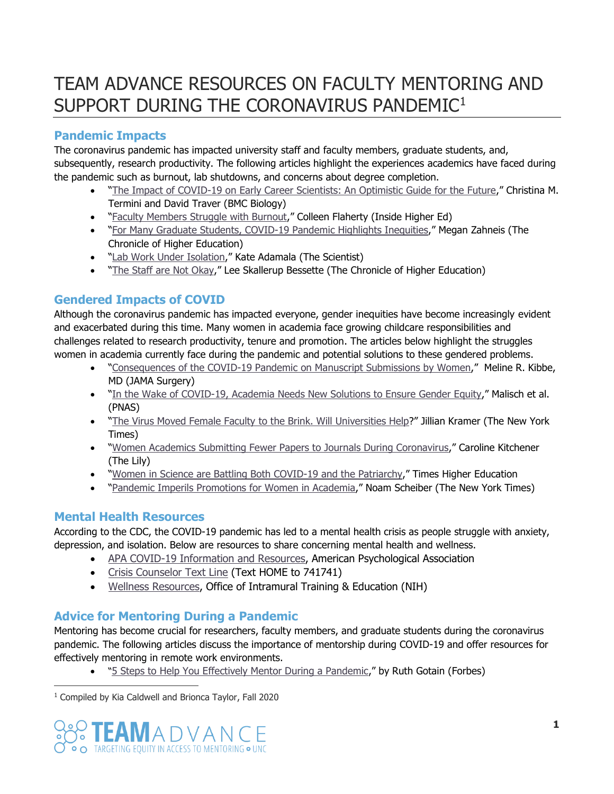# TEAM ADVANCE RESOURCES ON FACULTY MENTORING AND SUPPORT DURING THE CORONAVIRUS PANDEMIC<sup>1</sup>

## **Pandemic Impacts**

The coronavirus pandemic has impacted university staff and faculty members, graduate students, and, subsequently, research productivity. The following articles highlight the experiences academics have faced during the pandemic such as burnout, lab shutdowns, and concerns about degree completion.

- "[The Impact of COVID-19 on Early Career Scientists: An Optimistic Guide for the Future](https://sakai.unc.edu/access/content/group/1f997b9c-f1e4-4abb-9af9-1e1a231bc177/Resources%20on%20COVID19/12915_2020_Article_821.pdf)," Christina M. Termini and David Traver (BMC Biology)
- "[Faculty Members Struggle with Burnout](https://sakai.unc.edu/access/content/group/1f997b9c-f1e4-4abb-9af9-1e1a231bc177/Resources%20on%20COVID19/Faculty%20members%20struggle%20with%20burnout.pdf)," Colleen Flaherty (Inside Higher Ed)
- "[For Many Graduate Students, COVID-19 Pandemic Highlights Inequities](https://sakai.unc.edu/access/content/group/1f997b9c-f1e4-4abb-9af9-1e1a231bc177/Resources%20for%20Mentoring%20during%20the%20Pandemic/For%20Many%20Graduate%20Students%2C%20Covid-19%20Pandemic%20Highlights%20Inequities.pdf)," Megan Zahneis (The Chronicle of Higher Education)
- . "[Lab Work Under Isolation](https://sakai.unc.edu/access/content/group/1f997b9c-f1e4-4abb-9af9-1e1a231bc177/Resources%20for%20Mentoring%20during%20the%20Pandemic/Opinion_%20Lab%20Work%20Under%20Isolation%20_%20The%20Scientist%20Magazine%C2%AE.pdf)," Kate Adamala (The Scientist)
- "[The Staff are Not Okay](https://www.chronicle.com/article/the-staff-are-not-ok)," Lee Skallerup Bessette (The Chronicle of Higher Education)

## **Gendered Impacts of COVID**

Although the coronavirus pandemic has impacted everyone, gender inequities have become increasingly evident and exacerbated during this time. Many women in academia face growing childcare responsibilities and challenges related to research productivity, tenure and promotion. The articles below highlight the struggles women in academia currently face during the pandemic and potential solutions to these gendered problems.

- "[Consequences of the COVID-19 Pandemic on Manuscript Submissions by Women](https://sakai.unc.edu/access/content/group/1f997b9c-f1e4-4abb-9af9-1e1a231bc177/Resources%20on%20COVID19/Consequences%20of%20the%20COVID-19%20Pandemic%20on%20Manuscript%20Submissions%20by%20Women%20_%20Global%20Health%20_%20JAMA%20Surgery%20_%20JAMA%20Network.pdf)," Meline R. Kibbe, MD (JAMA Surgery)
- "[In the Wake of COVID-19, Academia Needs New Solutions to Ensure Gender Equity](https://sakai.unc.edu/access/content/group/1f997b9c-f1e4-4abb-9af9-1e1a231bc177/Resources%20on%20COVID19/Opinion-%20In%20the%20wake%20of%20COVID-19%2C%20academia%20needs%20new%20solutions%20to%20ensure%20gender%20equity.pdf)," Malisch et al. (PNAS)
- . "[The Virus Moved Female Faculty to the Brink. Will Universities Help](https://sakai.unc.edu/access/content/group/1f997b9c-f1e4-4abb-9af9-1e1a231bc177/Resources%20on%20COVID19/The%20Virus%20Moved%20Female%20Faculty%20to%20the%20Brink.%20Will%20Universities%20Help_%20-%20The%20New%20York%20Times.html)?" Jillian Kramer (The New York Times)
- "[Women Academics Submitting Fewer Papers to Journals During Coronavirus](https://sakai.unc.edu/access/content/group/1f997b9c-f1e4-4abb-9af9-1e1a231bc177/Resources%20on%20COVID19/Women%20academics%20submitting%20fewer%20papers%20to%20journals%20during%20coronavirus%20-%20The%20Lily.pdf)," Caroline Kitchener (The Lily)
- . "[Women in Science are Battling Both COVID-19 and the Patriarchy](https://sakai.unc.edu/access/content/group/1f997b9c-f1e4-4abb-9af9-1e1a231bc177/Resources%20on%20COVID19/Women%20in%20science%20are%20battling%20both%20Covid-19%20and%20the%20patriarchy%20_%20Times%20Higher%20Education%20_THE_.pdf)," Times Higher Education
- "[Pandemic Imperils Promotions for Women in Academia](https://www.nytimes.com/2020/09/29/business/economy/pandemic-women-tenure.html)," Noam Scheiber (The New York Times)

## **Mental Health Resources**

According to the CDC, the COVID-19 pandemic has led to a mental health crisis as people struggle with anxiety, depression, and isolation. Below are resources to share concerning mental health and wellness.

- [APA COVID-19 Information and Resources,](https://www.apa.org/topics/covid-19/) American Psychological Association
- [Crisis Counselor Text Line](https://www.crisistextline.org/) (Text HOME to 741741)
- [Wellness Resources,](https://www.training.nih.gov/wellness) Office of Intramural Training & Education (NIH)

## **Advice for Mentoring During a Pandemic**

Mentoring has become crucial for researchers, faculty members, and graduate students during the coronavirus pandemic. The following articles discuss the importance of mentorship during COVID-19 and offer resources for effectively mentoring in remote work environments.

. "S Steps to Help You Effectively Mentor During a Pandemic," by Ruth Gotain (Forbes)

 $\overline{a}$ <sup>1</sup> Compiled by Kia Caldwell and Brionca Taylor, Fall 2020